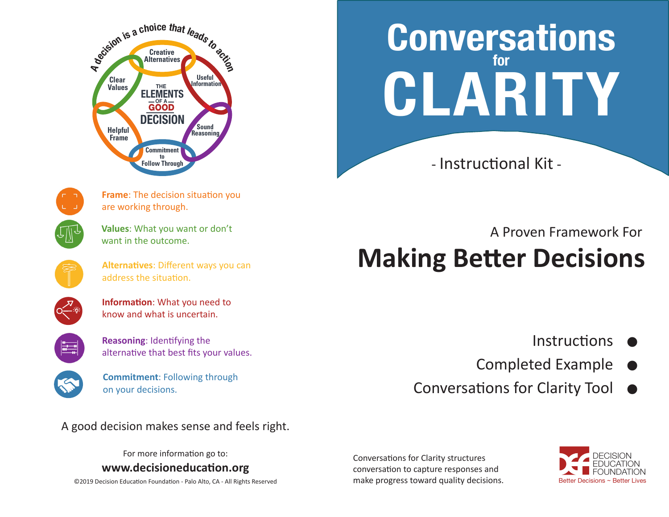



**Frame**: The decision situation you are working through.

**Values**: What you want or don't want in the outcome.

**Alternatives**: Different ways you can address the situation.



**Information**: What you need to know and what is uncertain.

**Reasoning**: Identifying the alternative that best fits your values.



**Commitment**: Following through on your decisions.

A good decision makes sense and feels right.

For more information go to:

**www.decisioneducation.org**

©2019 Decision Education Foundation - Palo Alto, CA - All Rights Reserved

**Conversations for CLARITY**

- Instructional Kit -

# **Making Better Decisions** A Proven Framework For

- **Instructions**  $\bullet$
- Completed Example  $\bullet$
- Conversations for Clarity Tool  $\bullet$

Conversations for Clarity structures conversation to capture responses and make progress toward quality decisions.